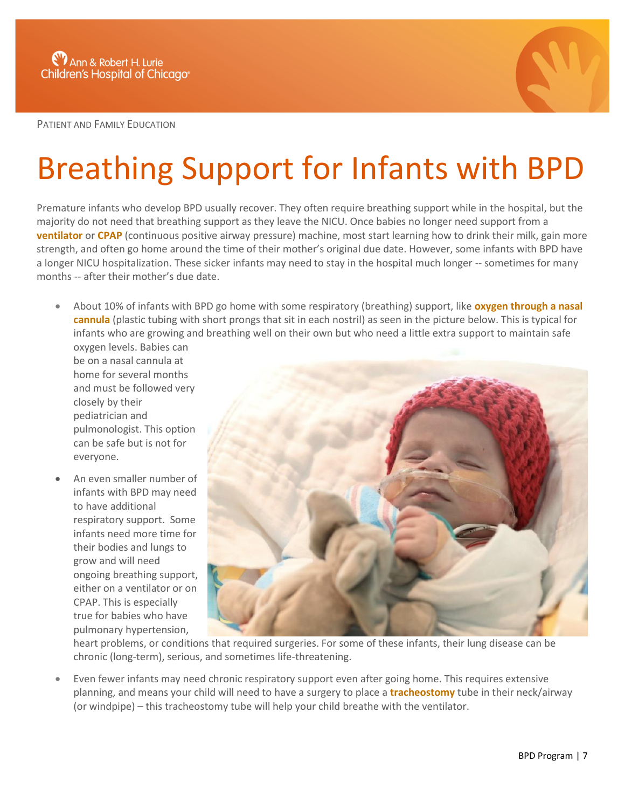

PATIENT AND FAMILY EDUCATION

## Breathing Support for Infants with BPD

Premature infants who develop BPD usually recover. They often require breathing support while in the hospital, but the majority do not need that breathing support as they leave the NICU. Once babies no longer need support from a **ventilator** or **CPAP** (continuous positive airway pressure) machine, most start learning how to drink their milk, gain more strength, and often go home around the time of their mother's original due date. However, some infants with BPD have a longer NICU hospitalization. These sicker infants may need to stay in the hospital much longer -- sometimes for many months -- after their mother's due date.

 About 10% of infants with BPD go home with some respiratory (breathing) support, like **oxygen through a nasal cannula** (plastic tubing with short prongs that sit in each nostril) as seen in the picture below. This is typical for infants who are growing and breathing well on their own but who need a little extra support to maintain safe oxygen levels. Babies can

be on a nasal cannula at home for several months and must be followed very closely by their pediatrician and pulmonologist. This option can be safe but is not for everyone.

 An even smaller number of infants with BPD may need to have additional respiratory support. Some infants need more time for their bodies and lungs to grow and will need ongoing breathing support, either on a ventilator or on CPAP. This is especially true for babies who have pulmonary hypertension,



heart problems, or conditions that required surgeries. For some of these infants, their lung disease can be chronic (long-term), serious, and sometimes life-threatening.

 Even fewer infants may need chronic respiratory support even after going home. This requires extensive planning, and means your child will need to have a surgery to place a **tracheostomy** tube in their neck/airway (or windpipe) – this tracheostomy tube will help your child breathe with the ventilator.